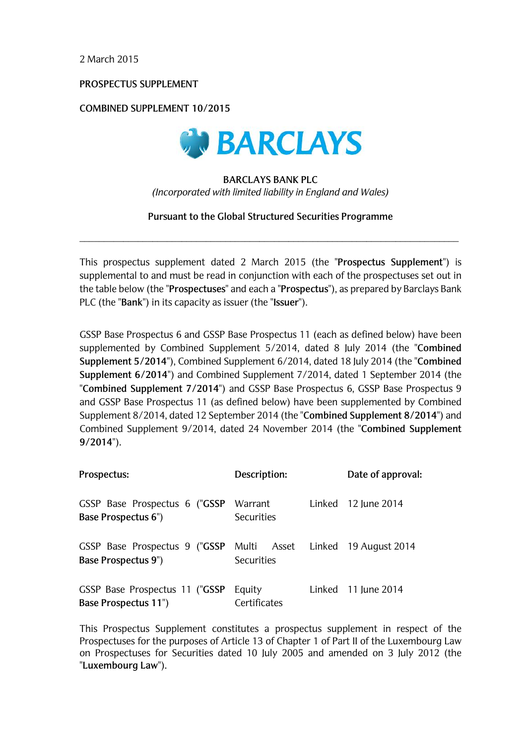2 March 2015

PROSPECTUS SUPPLEMENT

**COMBINED SUPPLEMENT 10/2015** 



# **BARCLAYS BANK PLC** (Incorporated with limited liability in England and Wales)

Pursuant to the Global Structured Securities Programme

This prospectus supplement dated 2 March 2015 (the "Prospectus Supplement") is supplemental to and must be read in conjunction with each of the prospectuses set out in the table below (the "Prospectuses" and each a "Prospectus"), as prepared by Barclays Bank PLC (the "Bank") in its capacity as issuer (the "Issuer").

GSSP Base Prospectus 6 and GSSP Base Prospectus 11 (each as defined below) have been supplemented by Combined Supplement 5/2014, dated 8 July 2014 (the "Combined Supplement 5/2014"), Combined Supplement 6/2014, dated 18 July 2014 (the "Combined Supplement 6/2014") and Combined Supplement 7/2014, dated 1 September 2014 (the "Combined Supplement 7/2014") and GSSP Base Prospectus 6, GSSP Base Prospectus 9 and GSSP Base Prospectus 11 (as defined below) have been supplemented by Combined Supplement 8/2014, dated 12 September 2014 (the "Combined Supplement 8/2014") and Combined Supplement 9/2014, dated 24 November 2014 (the "Combined Supplement  $9/2014$ ").

| Prospectus:                                                                                   | Description:           | Date of approval:     |
|-----------------------------------------------------------------------------------------------|------------------------|-----------------------|
| GSSP Base Prospectus 6 ("GSSP<br>Base Prospectus 6")                                          | Warrant<br>Securities  | Linked $12$ June 2014 |
| GSSP Base Prospectus 9 ("GSSP Multi Asset Linked 19 August 2014<br><b>Base Prospectus 9")</b> | Securities             |                       |
| GSSP Base Prospectus 11 ("GSSP<br>Base Prospectus 11")                                        | Equity<br>Certificates | Linked 11 June 2014   |

This Prospectus Supplement constitutes a prospectus supplement in respect of the Prospectuses for the purposes of Article 13 of Chapter 1 of Part II of the Luxembourg Law on Prospectuses for Securities dated 10 July 2005 and amended on 3 July 2012 (the "Luxembourg Law").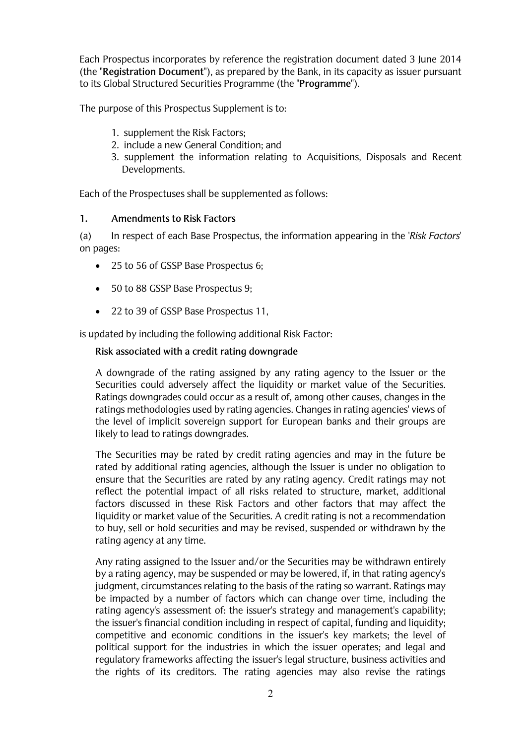Each Prospectus incorporates by reference the registration document dated 3 June 2014 (the "Registration Document"), as prepared by the Bank, in its capacity as issuer pursuant to its Global Structured Securities Programme (the "Programme").

The purpose of this Prospectus Supplement is to:

- 1. supplement the Risk Factors;
- 2. include a new General Condition; and
- 3. supplement the information relating to Acquisitions, Disposals and Recent Developments.

Each of the Prospectuses shall be supplemented as follows:

#### $1.$ **Amendments to Risk Factors**

 $(a)$ In respect of each Base Prospectus, the information appearing in the 'Risk Factors' on pages:

- 25 to 56 of GSSP Base Prospectus 6;
- 50 to 88 GSSP Base Prospectus 9;
- 22 to 39 of GSSP Base Prospectus 11,

is updated by including the following additional Risk Factor:

# Risk associated with a credit rating downgrade

A downgrade of the rating assigned by any rating agency to the Issuer or the Securities could adversely affect the liquidity or market value of the Securities. Ratings downgrades could occur as a result of, among other causes, changes in the ratings methodologies used by rating agencies. Changes in rating agencies' views of the level of implicit sovereign support for European banks and their groups are likely to lead to ratings downgrades.

The Securities may be rated by credit rating agencies and may in the future be rated by additional rating agencies, although the Issuer is under no obligation to ensure that the Securities are rated by any rating agency. Credit ratings may not reflect the potential impact of all risks related to structure, market, additional factors discussed in these Risk Factors and other factors that may affect the liquidity or market value of the Securities. A credit rating is not a recommendation to buy, sell or hold securities and may be revised, suspended or withdrawn by the rating agency at any time.

Any rating assigned to the Issuer and/or the Securities may be withdrawn entirely by a rating agency, may be suspended or may be lowered, if, in that rating agency's judgment, circumstances relating to the basis of the rating so warrant. Ratings may be impacted by a number of factors which can change over time, including the rating agency's assessment of: the issuer's strategy and management's capability; the issuer's financial condition including in respect of capital, funding and liquidity; competitive and economic conditions in the issuer's key markets; the level of political support for the industries in which the issuer operates; and legal and requlatory frameworks affecting the issuer's legal structure, business activities and the rights of its creditors. The rating agencies may also revise the ratings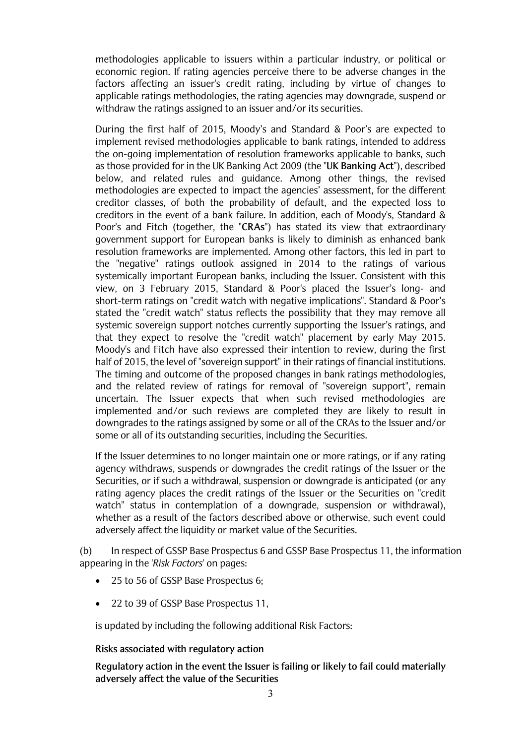economic region. If rating agencies perceive there to be adverse changes in the factors affecting an issuer's credit rating, including by virtue of changes to applicable ratings methodologies, the rating agencies may downgrade, suspend or withdraw the ratings assigned to an issuer and/or its securities.

methodologies applicable to issues within a particular industry, or political or<br>economic region. If rating agendes perceive there to be adverse changes in the<br>conomic region. If rating agendes perceive there to be adverse During the first half of 2015, Moody's and Standard & Poor's are expected to implement revised methodologies applicable to bank ratings, intended to address the on-going implementation of resolution frameworks applicable to banks, such as those provided for in the UK Banking Act 2009 (the "UK Banking Act"), described below, and related rules and guidance. Among other things, the revised methodologies are expected to impact the agencies' assessment, for the different creditor classes, of both the probability of default, and the expected loss to creditors in the event of a bank failure. In addition, each of Moody's, Standard & Poor's and Fitch (together, the "CRAs") has stated its view that extraordinary government support for European banks is likely to diminish as enhanced bank resolution frameworks are implemented. Among other factors, this led in part to the "negative" ratings outlook assigned in 2014 to the ratings of various systemically important European banks, including the Issuer. Consistent with this view, on 3 February 2015, Standard & Poor's placed the Issuer's long- and short-term ratings on "credit watch with negative implications". Standard & Poor's stated the "credit watch" status reflects the possibility that they may remove all systemic sovereign support notches currently supporting the Issuer's ratings, and that they expect to resolve the "credit watch" placement by early May 2015. Moody's and Fitch have also expressed their intention to review, during the first half of 2015, the level of "sovereign support" in their ratings of financial institutions. The timing and outcome of the proposed changes in bank ratings methodologies. and the related review of ratings for removal of "sovereign support", remain uncertain. The Issuer expects that when such revised methodologies are implemented and/or such reviews are completed they are likely to result in downgrades to the ratings assigned by some or all of the CRAs to the Issuer and/or some or all of its outstanding securities, including the Securities.

If the Issuer determines to no longer maintain one or more ratings, or if any rating agency withdraws, suspends or downgrades the credit ratings of the Issuer or the Securities, or if such a withdrawal, suspension or downgrade is anticipated (or any rating agency places the credit ratings of the Issuer or the Securities on "credit watch" status in contemplation of a downgrade, suspension or withdrawal), whether as a result of the factors described above or otherwise, such event could adversely affect the liquidity or market value of the Securities.

(b) In respect of GSSP Base Prospectus 6 and GSSP Base Prospectus 11, the information appearing in the 'Risk Factors' on pages:

- 25 to 56 of GSSP Base Prospectus 6;
- 22 to 39 of GSSP Base Prospectus 11,

is updated by including the following additional Risk Factors:

#### Risks associated with regulatory action

Regulatory action in the event the Issuer is failing or likely to fail could materially adversely affect the value of the Securities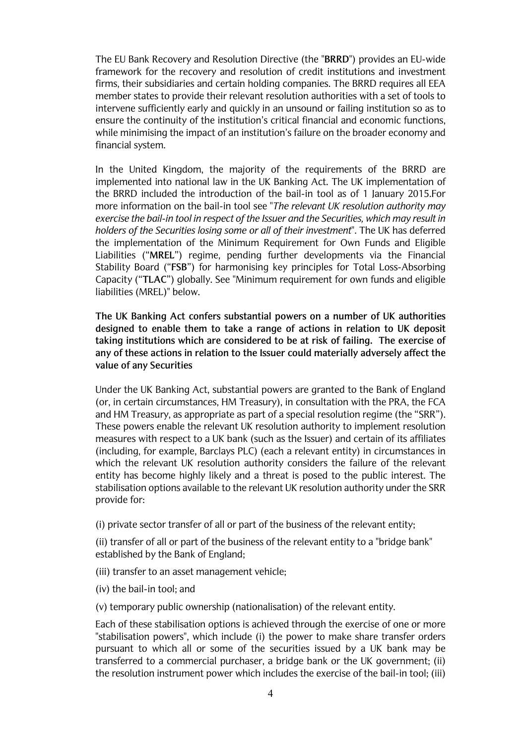The EU Bank Recovery and Resolution Directive (the "BRRD") provides an EU-wide framework for the recovery and resolution of credit institutions and investment firms, their subsidiaries and certain holding companies. The BRRD requires all EEA member states to provide their relevant resolution authorities with a set of tools to intervene sufficiently early and quickly in an unsound or failing institution so as to ensure the continuity of the institution's critical financial and economic functions, while minimising the impact of an institution's failure on the broader economy and financial system.

In the United Kingdom, the majority of the requirements of the BRRD are implemented into national law in the UK Banking Act. The UK implementation of the BRRD included the introduction of the bail-in tool as of 1 January 2015. For more information on the bail-in tool see "The relevant UK resolution authority may exercise the bail-in tool in respect of the Issuer and the Securities, which may result in holders of the Securities losing some or all of their investment". The UK has deferred the implementation of the Minimum Requirement for Own Funds and Eligible Liabilities ("MREL") regime, pending further developments via the Financial Stability Board ("FSB") for harmonising key principles for Total Loss-Absorbina Capacity ("TLAC") globally. See "Minimum requirement for own funds and eligible liabilities (MREL)" below.

The UK Banking Act confers substantial powers on a number of UK authorities designed to enable them to take a range of actions in relation to UK deposit taking institutions which are considered to be at risk of failing. The exercise of any of these actions in relation to the Issuer could materially adversely affect the value of any Securities

Under the UK Banking Act, substantial powers are granted to the Bank of England (or, in certain circumstances, HM Treasury), in consultation with the PRA, the FCA and HM Treasury, as appropriate as part of a special resolution regime (the "SRR"). These powers enable the relevant UK resolution authority to implement resolution measures with respect to a UK bank (such as the Issuer) and certain of its affiliates (including, for example, Barclays PLC) (each a relevant entity) in circumstances in which the relevant UK resolution authority considers the failure of the relevant entity has become highly likely and a threat is posed to the public interest. The stabilisation options available to the relevant UK resolution authority under the SRR provide for:

(i) private sector transfer of all or part of the business of the relevant entity;

(ii) transfer of all or part of the business of the relevant entity to a "bridge bank" established by the Bank of England;

(iii) transfer to an asset management vehicle;

(iv) the bail-in tool; and

(v) temporary public ownership (nationalisation) of the relevant entity.

Each of these stabilisation options is achieved through the exercise of one or more "stabilisation powers", which include (i) the power to make share transfer orders pursuant to which all or some of the securities issued by a UK bank may be transferred to a commercial purchaser, a bridge bank or the UK government; (ii) the resolution instrument power which includes the exercise of the bail-in tool; (iii)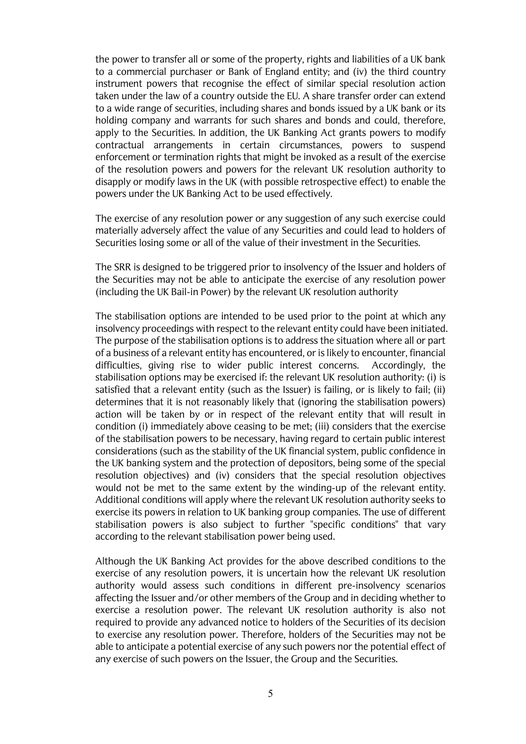the power to transfer all or some of the property, rights and liabilities of a UK bank to a commercial purchaser or Bank of England entity; and (iv) the third country instrument powers that recognise the effect of similar special resolution action taken under the law of a country outside the EU. A share transfer order can extend to a wide range of securities, including shares and bonds issued by a UK bank or its holding company and warrants for such shares and bonds and could, therefore, apply to the Securities. In addition, the UK Banking Act grants powers to modify contractual arrangements in certain circumstances, powers to suspend enforcement or termination rights that might be invoked as a result of the exercise of the resolution powers and powers for the relevant UK resolution authority to disapply or modify laws in the UK (with possible retrospective effect) to enable the powers under the UK Banking Act to be used effectively.

The exercise of any resolution power or any suggestion of any such exercise could materially adversely affect the value of any Securities and could lead to holders of Securities losing some or all of the value of their investment in the Securities.

The SRR is designed to be triggered prior to insolvency of the Issuer and holders of the Securities may not be able to anticipate the exercise of any resolution power (including the UK Bail-in Power) by the relevant UK resolution authority

The stabilisation options are intended to be used prior to the point at which any insolvency proceedings with respect to the relevant entity could have been initiated. The purpose of the stabilisation options is to address the situation where all or part of a business of a relevant entity has encountered, or is likely to encounter, financial difficulties, giving rise to wider public interest concerns. Accordingly, the stabilisation options may be exercised if: the relevant UK resolution authority: (i) is satisfied that a relevant entity (such as the Issuer) is failing, or is likely to fail; (ii) determines that it is not reasonably likely that (ignoring the stabilisation powers) action will be taken by or in respect of the relevant entity that will result in condition (i) immediately above ceasing to be met; (iii) considers that the exercise of the stabilisation powers to be necessary, having regard to certain public interest considerations (such as the stability of the UK financial system, public confidence in the UK banking system and the protection of depositors, being some of the special resolution objectives) and (iv) considers that the special resolution objectives would not be met to the same extent by the winding-up of the relevant entity. Additional conditions will apply where the relevant UK resolution authority seeks to exercise its powers in relation to UK banking group companies. The use of different stabilisation powers is also subject to further "specific conditions" that vary according to the relevant stabilisation power being used.

Although the UK Banking Act provides for the above described conditions to the exercise of any resolution powers, it is uncertain how the relevant UK resolution authority would assess such conditions in different pre-insolvency scenarios affecting the Issuer and/or other members of the Group and in deciding whether to exercise a resolution power. The relevant UK resolution authority is also not required to provide any advanced notice to holders of the Securities of its decision to exercise any resolution power. Therefore, holders of the Securities may not be able to anticipate a potential exercise of any such powers nor the potential effect of any exercise of such powers on the Issuer, the Group and the Securities.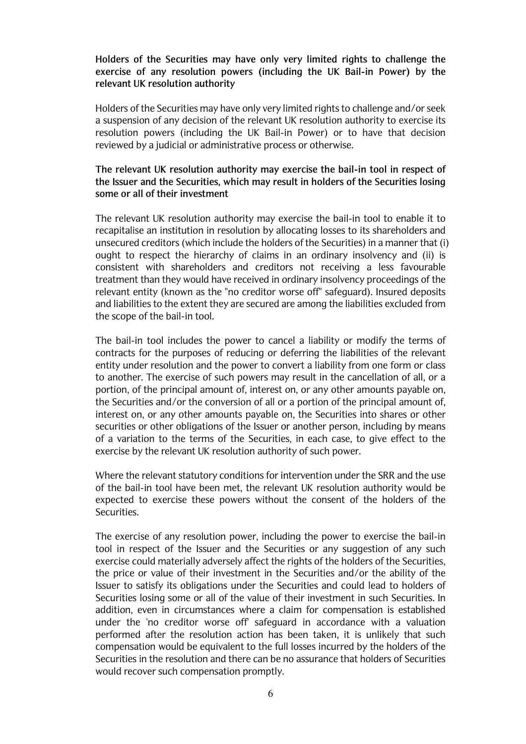# Holders of the Securities may have only very limited rights to challenge the exercise of any resolution powers (including the UK Bail-in Power) by the relevant UK resolution authority

Holders of the Securities may have only very limited rights to challenge and/or seek a suspension of any decision of the relevant UK resolution authority to exercise its resolution powers (including the UK Bail-in Power) or to have that decision reviewed by a judicial or administrative process or otherwise.

# The relevant UK resolution authority may exercise the bail-in tool in respect of the Issuer and the Securities, which may result in holders of the Securities losing some or all of their investment

The relevant UK resolution authority may exercise the bail-in tool to enable it to recapitalise an institution in resolution by allocating losses to its shareholders and unsecured creditors (which include the holders of the Securities) in a manner that (i) ought to respect the hierarchy of claims in an ordinary insolvency and (ii) is consistent with shareholders and creditors not receiving a less favourable treatment than they would have received in ordinary insolvency proceedings of the relevant entity (known as the "no creditor worse off" safeguard). Insured deposits and liabilities to the extent they are secured are among the liabilities excluded from the scope of the bail-in tool.

The bail-in tool includes the power to cancel a liability or modify the terms of contracts for the purposes of reducing or deferring the liabilities of the relevant entity under resolution and the power to convert a liability from one form or class to another. The exercise of such powers may result in the cancellation of all, or a portion, of the principal amount of, interest on, or any other amounts payable on, the Securities and/or the conversion of all or a portion of the principal amount of. interest on, or any other amounts payable on, the Securities into shares or other securities or other obligations of the Issuer or another person, including by means of a variation to the terms of the Securities, in each case, to give effect to the exercise by the relevant UK resolution authority of such power.

Where the relevant statutory conditions for intervention under the SRR and the use of the bail-in tool have been met, the relevant UK resolution authority would be expected to exercise these powers without the consent of the holders of the Securities.

The exercise of any resolution power, including the power to exercise the bail-in tool in respect of the Issuer and the Securities or any suggestion of any such exercise could materially adversely affect the rights of the holders of the Securities, the price or value of their investment in the Securities and/or the ability of the Issuer to satisfy its obligations under the Securities and could lead to holders of Securities losing some or all of the value of their investment in such Securities. In addition, even in circumstances where a claim for compensation is established under the 'no creditor worse off safeguard in accordance with a valuation performed after the resolution action has been taken, it is unlikely that such compensation would be equivalent to the full losses incurred by the holders of the Securities in the resolution and there can be no assurance that holders of Securities would recover such compensation promptly.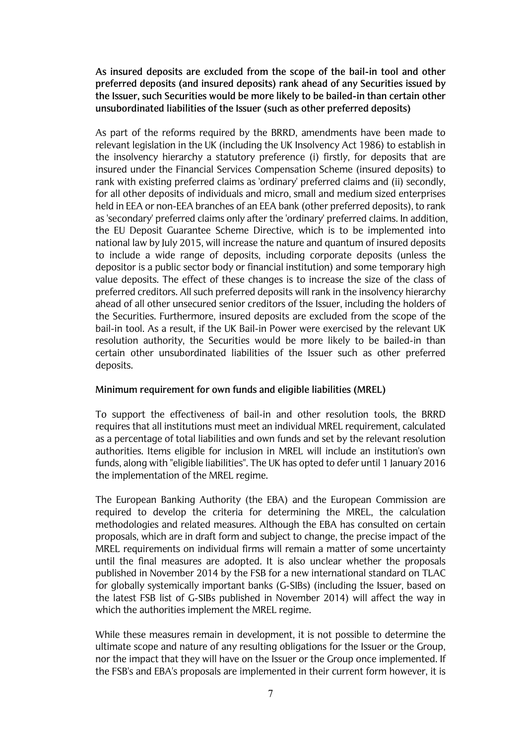As insured deposits are excluded from the scope of the bail-in tool and other preferred deposits (and insured deposits) rank ahead of any Securities issued by the Issuer, such Securities would be more likely to be bailed-in than certain other unsubordinated liabilities of the Issuer (such as other preferred deposits)

As part of the reforms required by the BRRD, amendments have been made to relevant legislation in the UK (including the UK Insolvency Act 1986) to establish in the insolvency hierarchy a statutory preference (i) firstly, for deposits that are insured under the Financial Services Compensation Scheme (insured deposits) to rank with existing preferred claims as 'ordinary' preferred claims and (ii) secondly, for all other deposits of individuals and micro, small and medium sized enterprises held in EEA or non-EEA branches of an EEA bank (other preferred deposits), to rank as 'secondary' preferred claims only after the 'ordinary' preferred claims. In addition, the EU Deposit Guarantee Scheme Directive, which is to be implemented into national law by July 2015, will increase the nature and quantum of insured deposits to include a wide range of deposits, including corporate deposits (unless the depositor is a public sector body or financial institution) and some temporary high value deposits. The effect of these changes is to increase the size of the class of preferred creditors. All such preferred deposits will rank in the insolvency hierarchy ahead of all other unsecured senior creditors of the Issuer, including the holders of the Securities. Furthermore, insured deposits are excluded from the scope of the bail-in tool. As a result, if the UK Bail-in Power were exercised by the relevant UK resolution authority, the Securities would be more likely to be bailed-in than certain other unsubordinated liabilities of the Issuer such as other preferred deposits.

## Minimum requirement for own funds and eligible liabilities (MREL)

To support the effectiveness of bail-in and other resolution tools, the BRRD requires that all institutions must meet an individual MREL requirement, calculated as a percentage of total liabilities and own funds and set by the relevant resolution authorities. Items eligible for inclusion in MREL will include an institution's own funds, along with "eligible liabilities". The UK has opted to defer until 1 January 2016 the implementation of the MREL regime.

The European Banking Authority (the EBA) and the European Commission are required to develop the criteria for determining the MREL, the calculation methodologies and related measures. Although the EBA has consulted on certain proposals, which are in draft form and subject to change, the precise impact of the MREL requirements on individual firms will remain a matter of some uncertainty until the final measures are adopted. It is also unclear whether the proposals published in November 2014 by the FSB for a new international standard on TLAC for globally systemically important banks (G-SIBs) (including the Issuer, based on the latest FSB list of G-SIBs published in November 2014) will affect the way in which the authorities implement the MREL regime.

While these measures remain in development, it is not possible to determine the ultimate scope and nature of any resulting obligations for the Issuer or the Group. nor the impact that they will have on the Issuer or the Group once implemented. If the FSB's and EBA's proposals are implemented in their current form however, it is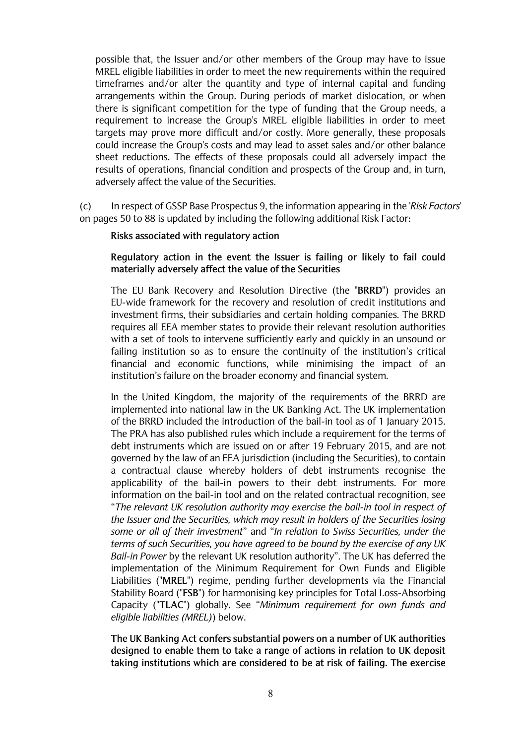possible that, the Issuer and/or other members of the Group may have to issue MREL eligible liabilities in order to meet the new requirements within the required timeframes and/or alter the quantity and type of internal capital and funding arrangements within the Group. During periods of market dislocation, or when there is significant competition for the type of funding that the Group needs, a requirement to increase the Group's MREL eligible liabilities in order to meet targets may prove more difficult and/or costly. More generally, these proposals could increase the Group's costs and may lead to asset sales and/or other balance sheet reductions. The effects of these proposals could all adversely impact the results of operations, financial condition and prospects of the Group and, in turn, adversely affect the value of the Securities.

 $(c)$ In respect of GSSP Base Prospectus 9, the information appearing in the 'Risk Factors' on pages 50 to 88 is updated by including the following additional Risk Factor:

#### Risks associated with regulatory action

# Regulatory action in the event the Issuer is failing or likely to fail could materially adversely affect the value of the Securities

The EU Bank Recovery and Resolution Directive (the "BRRD") provides an EU-wide framework for the recovery and resolution of credit institutions and investment firms, their subsidiaries and certain holding companies. The BRRD requires all EEA member states to provide their relevant resolution authorities with a set of tools to intervene sufficiently early and quickly in an unsound or failing institution so as to ensure the continuity of the institution's critical financial and economic functions, while minimising the impact of an institution's failure on the broader economy and financial system.

In the United Kingdom, the majority of the requirements of the BRRD are implemented into national law in the UK Banking Act. The UK implementation of the BRRD included the introduction of the bail-in tool as of 1 lanuary 2015. The PRA has also published rules which include a requirement for the terms of debt instruments which are issued on or after 19 February 2015, and are not governed by the law of an EEA jurisdiction (including the Securities), to contain a contractual clause whereby holders of debt instruments recognise the applicability of the bail-in powers to their debt instruments. For more information on the bail-in tool and on the related contractual recognition, see "The relevant UK resolution authority may exercise the bail-in tool in respect of the Issuer and the Securities, which may result in holders of the Securities losing some or all of their investment" and "In relation to Swiss Securities, under the terms of such Securities, you have agreed to be bound by the exercise of any UK Bail-in Power by the relevant UK resolution authority". The UK has deferred the implementation of the Minimum Requirement for Own Funds and Eligible Liabilities ("MREL") regime, pending further developments via the Financial Stability Board ("FSB") for harmonising key principles for Total Loss-Absorbing Capacity ("TLAC") globally. See "Minimum requirement for own funds and eligible liabilities (MREL)) below.

The UK Banking Act confers substantial powers on a number of UK authorities designed to enable them to take a range of actions in relation to UK deposit taking institutions which are considered to be at risk of failing. The exercise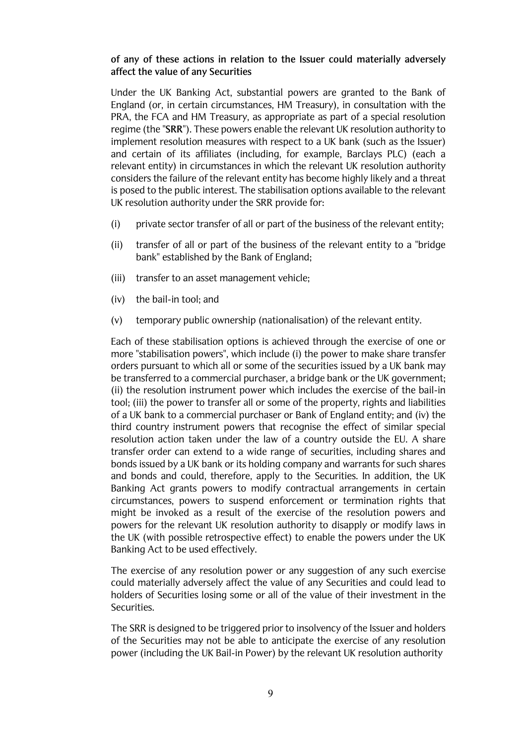# of any of these actions in relation to the Issuer could materially adversely affect the value of any Securities

Under the UK Banking Act, substantial powers are granted to the Bank of England (or, in certain circumstances, HM Treasury), in consultation with the PRA, the FCA and HM Treasury, as appropriate as part of a special resolution regime (the "SRR"). These powers enable the relevant UK resolution authority to implement resolution measures with respect to a UK bank (such as the Issuer) and certain of its affiliates (including, for example, Barclays PLC) (each a relevant entity) in circumstances in which the relevant UK resolution authority considers the failure of the relevant entity has become highly likely and a threat is posed to the public interest. The stabilisation options available to the relevant UK resolution authority under the SRR provide for:

- (i) private sector transfer of all or part of the business of the relevant entity;
- (ii) transfer of all or part of the business of the relevant entity to a "bridge" bank" established by the Bank of England;
- (iii) transfer to an asset management vehicle;
- $(iv)$  the bail-in tool; and
- $(v)$  temporary public ownership (nationalisation) of the relevant entity.

Each of these stabilisation options is achieved through the exercise of one or more "stabilisation powers", which include (i) the power to make share transfer orders pursuant to which all or some of the securities issued by a UK bank may be transferred to a commercial purchaser, a bridge bank or the UK government; (ii) the resolution instrument power which includes the exercise of the bail-in tool; (iii) the power to transfer all or some of the property, rights and liabilities of a UK bank to a commercial purchaser or Bank of England entity; and (iv) the third country instrument powers that recognise the effect of similar special resolution action taken under the law of a country outside the EU. A share transfer order can extend to a wide range of securities, including shares and bonds issued by a UK bank or its holding company and warrants for such shares and bonds and could, therefore, apply to the Securities. In addition, the UK Banking Act grants powers to modify contractual arrangements in certain circumstances, powers to suspend enforcement or termination rights that might be invoked as a result of the exercise of the resolution powers and powers for the relevant UK resolution authority to disapply or modify laws in the UK (with possible retrospective effect) to enable the powers under the UK Banking Act to be used effectively.

The exercise of any resolution power or any suggestion of any such exercise could materially adversely affect the value of any Securities and could lead to holders of Securities losing some or all of the value of their investment in the Securities.

The SRR is designed to be triggered prior to insolvency of the Issuer and holders of the Securities may not be able to anticipate the exercise of any resolution power (including the UK Bail-in Power) by the relevant UK resolution authority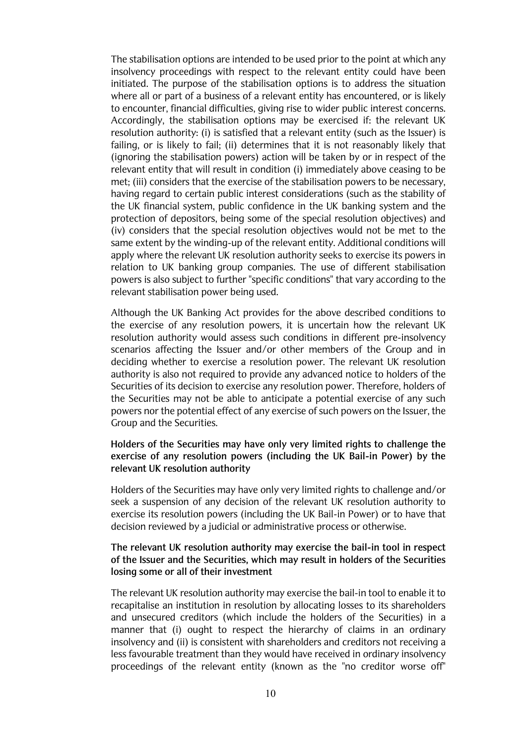The stabilisation options are intended to be used prior to the point at which any insolvency proceedings with respect to the relevant entity could have been initiated. The purpose of the stabilisation options is to address the situation where all or part of a business of a relevant entity has encountered, or is likely to encounter, financial difficulties, giving rise to wider public interest concerns. Accordingly, the stabilisation options may be exercised if: the relevant UK resolution authority: (i) is satisfied that a relevant entity (such as the Issuer) is failing, or is likely to fail; (ii) determines that it is not reasonably likely that (ignoring the stabilisation powers) action will be taken by or in respect of the relevant entity that will result in condition (i) immediately above ceasing to be met; (iii) considers that the exercise of the stabilisation powers to be necessary, having regard to certain public interest considerations (such as the stability of the UK financial system, public confidence in the UK banking system and the protection of depositors, being some of the special resolution objectives) and (iv) considers that the special resolution objectives would not be met to the same extent by the winding-up of the relevant entity. Additional conditions will apply where the relevant UK resolution authority seeks to exercise its powers in relation to UK banking group companies. The use of different stabilisation powers is also subject to further "specific conditions" that vary according to the relevant stabilisation power being used.

Although the UK Banking Act provides for the above described conditions to the exercise of any resolution powers, it is uncertain how the relevant UK resolution authority would assess such conditions in different pre-insolvency scenarios affecting the Issuer and/or other members of the Group and in deciding whether to exercise a resolution power. The relevant UK resolution authority is also not required to provide any advanced notice to holders of the Securities of its decision to exercise any resolution power. Therefore, holders of the Securities may not be able to anticipate a potential exercise of any such powers nor the potential effect of any exercise of such powers on the Issuer, the Group and the Securities.

## Holders of the Securities may have only very limited rights to challenge the exercise of any resolution powers (including the UK Bail-in Power) by the relevant UK resolution authority

Holders of the Securities may have only very limited rights to challenge and/or seek a suspension of any decision of the relevant UK resolution authority to exercise its resolution powers (including the UK Bail-in Power) or to have that decision reviewed by a judicial or administrative process or otherwise.

### The relevant UK resolution authority may exercise the bail-in tool in respect of the Issuer and the Securities, which may result in holders of the Securities losing some or all of their investment

The relevant UK resolution authority may exercise the bail-in tool to enable it to recapitalise an institution in resolution by allocating losses to its shareholders and unsecured creditors (which include the holders of the Securities) in a manner that (i) ought to respect the hierarchy of claims in an ordinary insolvency and (ii) is consistent with shareholders and creditors not receiving a less favourable treatment than they would have received in ordinary insolvency proceedings of the relevant entity (known as the "no creditor worse off"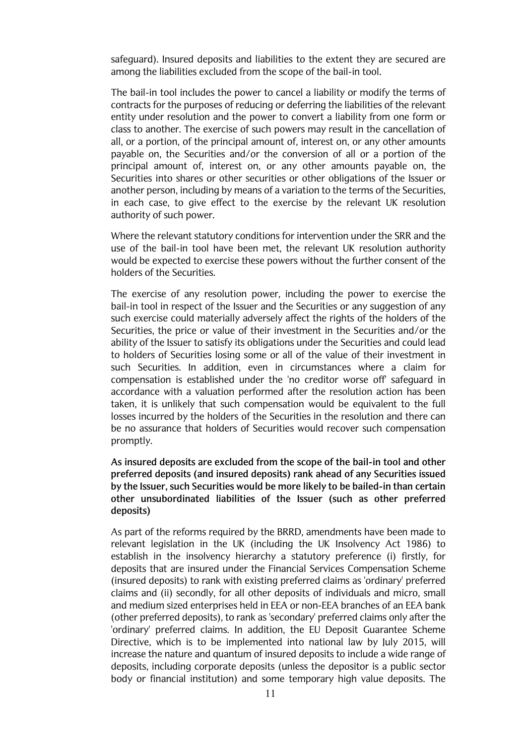safeguard). Insured deposits and liabilities to the extent they are secured are among the liabilities excluded from the scope of the bail-in tool.

The bail-in tool includes the power to cancel a liability or modify the terms of contracts for the purposes of reducing or deferring the liabilities of the relevant entity under resolution and the power to convert a liability from one form or class to another. The exercise of such powers may result in the cancellation of all, or a portion, of the principal amount of, interest on, or any other amounts payable on, the Securities and/or the conversion of all or a portion of the principal amount of, interest on, or any other amounts payable on, the Securities into shares or other securities or other obligations of the Issuer or another person, including by means of a variation to the terms of the Securities. in each case, to give effect to the exercise by the relevant UK resolution authority of such power.

Where the relevant statutory conditions for intervention under the SRR and the use of the bail-in tool have been met, the relevant UK resolution authority would be expected to exercise these powers without the further consent of the holders of the Securities.

The exercise of any resolution power, including the power to exercise the bail-in tool in respect of the Issuer and the Securities or any suggestion of any such exercise could materially adversely affect the rights of the holders of the Securities, the price or value of their investment in the Securities and/or the ability of the Issuer to satisfy its obligations under the Securities and could lead to holders of Securities losing some or all of the value of their investment in such Securities. In addition, even in circumstances where a claim for compensation is established under the 'no creditor worse off safequard in accordance with a valuation performed after the resolution action has been taken, it is unlikely that such compensation would be equivalent to the full losses incurred by the holders of the Securities in the resolution and there can be no assurance that holders of Securities would recover such compensation promptly.

As insured deposits are excluded from the scope of the bail-in tool and other preferred deposits (and insured deposits) rank ahead of any Securities issued by the Issuer, such Securities would be more likely to be bailed-in than certain other unsubordinated liabilities of the Issuer (such as other preferred deposits)

As part of the reforms required by the BRRD, amendments have been made to relevant legislation in the UK (including the UK Insolvency Act 1986) to establish in the insolvency hierarchy a statutory preference (i) firstly, for deposits that are insured under the Financial Services Compensation Scheme (insured deposits) to rank with existing preferred claims as 'ordinary' preferred claims and (ii) secondly, for all other deposits of individuals and micro, small and medium sized enterprises held in EEA or non-EEA branches of an EEA bank (other preferred deposits), to rank as 'secondary' preferred claims only after the 'ordinary' preferred claims. In addition, the EU Deposit Guarantee Scheme Directive, which is to be implemented into national law by July 2015, will increase the nature and quantum of insured deposits to include a wide range of deposits, including corporate deposits (unless the depositor is a public sector body or financial institution) and some temporary high value deposits. The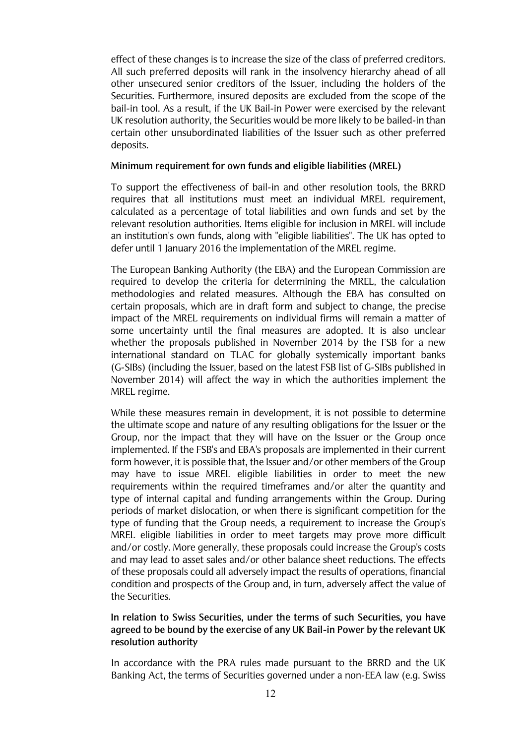effect of these changes is to increase the size of the class of preferred creditors. All such preferred deposits will rank in the insolvency hierarchy ahead of all other unsecured senior creditors of the Issuer, including the holders of the Securities. Furthermore, insured deposits are excluded from the scope of the bail-in tool. As a result, if the UK Bail-in Power were exercised by the relevant UK resolution authority, the Securities would be more likely to be bailed-in than certain other unsubordinated liabilities of the Issuer such as other preferred deposits.

#### Minimum requirement for own funds and eligible liabilities (MREL)

To support the effectiveness of bail-in and other resolution tools, the BRRD requires that all institutions must meet an individual MREL requirement, calculated as a percentage of total liabilities and own funds and set by the relevant resolution authorities. Items eligible for inclusion in MREL will include an institution's own funds, along with "eligible liabilities". The UK has opted to defer until 1 January 2016 the implementation of the MREL regime.

The European Banking Authority (the EBA) and the European Commission are required to develop the criteria for determining the MREL, the calculation methodologies and related measures. Although the EBA has consulted on certain proposals, which are in draft form and subject to change, the precise impact of the MREL requirements on individual firms will remain a matter of some uncertainty until the final measures are adopted. It is also unclear whether the proposals published in November 2014 by the FSB for a new international standard on TLAC for globally systemically important banks (G-SIBs) (including the Issuer, based on the latest FSB list of G-SIBs published in November 2014) will affect the way in which the authorities implement the MREL regime.

While these measures remain in development, it is not possible to determine the ultimate scope and nature of any resulting obligations for the Issuer or the Group, nor the impact that they will have on the Issuer or the Group once implemented. If the FSB's and EBA's proposals are implemented in their current form however, it is possible that, the Issuer and/or other members of the Group may have to issue MREL eligible liabilities in order to meet the new requirements within the required timeframes and/or alter the quantity and type of internal capital and funding arrangements within the Group. During periods of market dislocation, or when there is significant competition for the type of funding that the Group needs, a requirement to increase the Group's MREL eligible liabilities in order to meet targets may prove more difficult and/or costly. More generally, these proposals could increase the Group's costs and may lead to asset sales and/or other balance sheet reductions. The effects of these proposals could all adversely impact the results of operations, financial condition and prospects of the Group and, in turn, adversely affect the value of the Securities.

# In relation to Swiss Securities, under the terms of such Securities, you have agreed to be bound by the exercise of any UK Bail-in Power by the relevant UK resolution authority

In accordance with the PRA rules made pursuant to the BRRD and the UK Banking Act, the terms of Securities governed under a non-EEA law (e.g. Swiss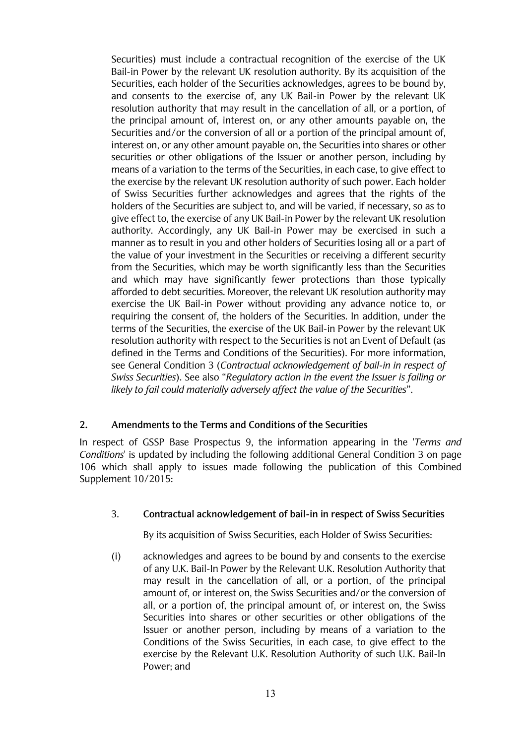Securities) must include a contractual recognition of the exercise of the UK Bail-in Power by the relevant UK resolution authority. By its acquisition of the Securities, each holder of the Securities acknowledges, agrees to be bound by, and consents to the exercise of, any UK Bail-in Power by the relevant UK resolution authority that may result in the cancellation of all, or a portion, of the principal amount of, interest on, or any other amounts payable on, the Securities and/or the conversion of all or a portion of the principal amount of, interest on, or any other amount payable on, the Securities into shares or other securities or other obligations of the Issuer or another person, including by means of a variation to the terms of the Securities, in each case, to give effect to the exercise by the relevant UK resolution authority of such power. Each holder of Swiss Securities further acknowledges and agrees that the rights of the holders of the Securities are subject to, and will be varied, if necessary, so as to give effect to, the exercise of any UK Bail-in Power by the relevant UK resolution authority. Accordingly, any UK Bail-in Power may be exercised in such a manner as to result in you and other holders of Securities losing all or a part of the value of your investment in the Securities or receiving a different security from the Securities, which may be worth significantly less than the Securities and which may have significantly fewer protections than those typically afforded to debt securities. Moreover, the relevant UK resolution authority may exercise the UK Bail-in Power without providing any advance notice to, or requiring the consent of, the holders of the Securities. In addition, under the terms of the Securities, the exercise of the UK Bail-in Power by the relevant UK resolution authority with respect to the Securities is not an Event of Default (as defined in the Terms and Conditions of the Securities). For more information, see General Condition 3 (Contractual acknowledgement of bail-in in respect of Swiss Securities). See also "Regulatory action in the event the Issuer is failing or likely to fail could materially adversely affect the value of the Securities".

# 2. Amendments to the Terms and Conditions of the Securities

In respect of GSSP Base Prospectus 9, the information appearing in the 'Terms and Conditions' is updated by including the following additional General Condition 3 on page 106 which shall apply to issues made following the publication of this Combined Supplement 10/2015:

## 3. Contractual acknowledgement of bail-in in respect of Swiss Securities

By its acquisition of Swiss Securities, each Holder of Swiss Securities:

 $(i)$  acknowledges and agrees to be bound by and consents to the exercise of any U.K. Bail-In Power by the Relevant U.K. Resolution Authority that may result in the cancellation of all, or a portion, of the principal amount of, or interest on, the Swiss Securities and/or the conversion of all, or a portion of, the principal amount of, or interest on, the Swiss Securities into shares or other securities or other obligations of the Issuer or another person, including by means of a variation to the Conditions of the Swiss Securities, in each case, to give effect to the exercise by the Relevant U.K. Resolution Authority of such U.K. Bail-In Power; and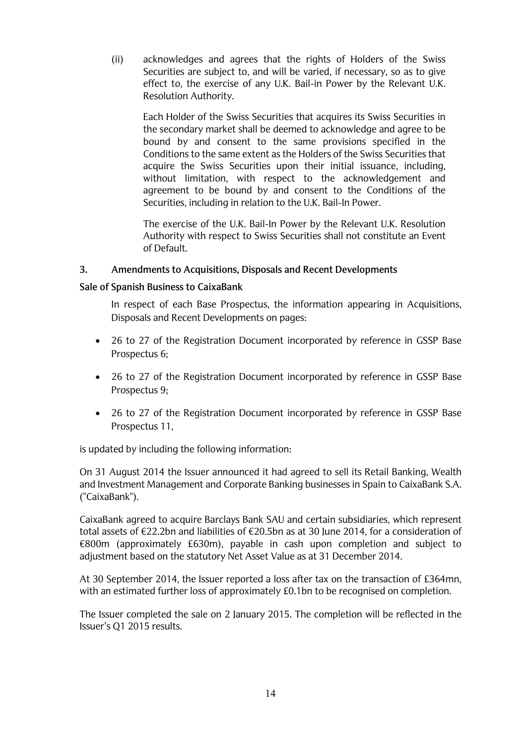(ii) acknowledges and agrees that the rights of Holders of the Swiss Securities are subject to, and will be varied, if necessary, so as to give effect to, the exercise of any U.K. Bail-in Power by the Relevant U.K. Resolution Authority.

Each Holder of the Swiss Securities that acquires its Swiss Securities in the secondary market shall be deemed to acknowledge and agree to be bound by and consent to the same provisions specified in the Conditions to the same extent as the Holders of the Swiss Securities that acquire the Swiss Securities upon their initial issuance, including, without limitation, with respect to the acknowledgement and agreement to be bound by and consent to the Conditions of the Securities, including in relation to the U.K. Bail-In Power.

The exercise of the U.K. Bail-In Power by the Relevant U.K. Resolution Authority with respect to Swiss Securities shall not constitute an Event of Default.

# 3. Amendments to Acquisitions, Disposals and Recent Developments

## Sale of Spanish Business to CaixaBank

In respect of each Base Prospectus, the information appearing in Acquisitions, Disposals and Recent Developments on pages:

- 26 to 27 of the Registration Document incorporated by reference in GSSP Base Prospectus 6;
- 26 to 27 of the Registration Document incorporated by reference in GSSP Base Prospectus 9;
- 26 to 27 of the Registration Document incorporated by reference in GSSP Base Prospectus 11.

is updated by including the following information:

On 31 August 2014 the Issuer announced it had agreed to sell its Retail Banking, Wealth and Investment Management and Corporate Banking businesses in Spain to CaixaBank S.A. ("CaixaBank").

CaixaBank agreed to acquire Barclays Bank SAU and certain subsidiaries, which represent total assets of  $\epsilon$ 22.2bn and liabilities of  $\epsilon$ 20.5bn as at 30 June 2014, for a consideration of  $\epsilon$ 800m (approximately £630m), payable in cash upon completion and subject to adjustment based on the statutory Net Asset Value as at 31 December 2014.

At 30 September 2014, the Issuer reported a loss after tax on the transaction of £364mn, with an estimated further loss of approximately £0.1bn to be recognised on completion.

The Issuer completed the sale on 2 January 2015. The completion will be reflected in the Issuer's Q1 2015 results.